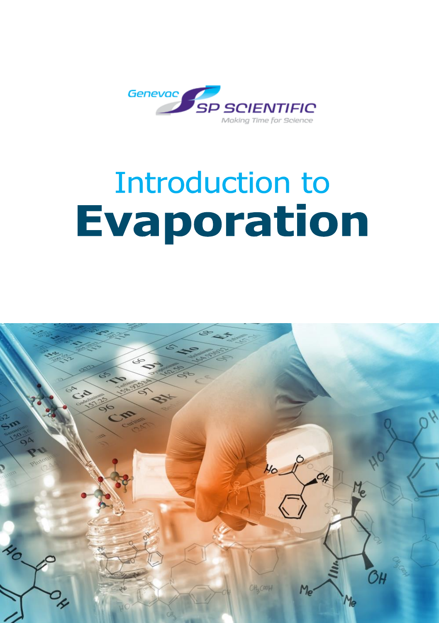

# **Introduction to Evaporation**

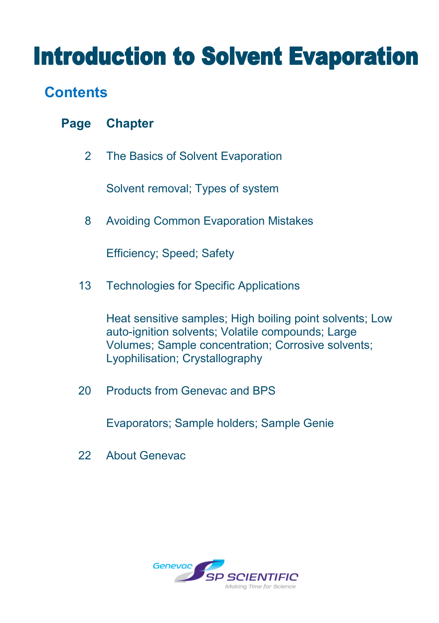## **Introduction to Solvent Evaporation**

## **Contents**

| <b>Page</b> | <b>Chapter</b> |
|-------------|----------------|
|-------------|----------------|

2 The Basics of Solvent Evaporation

Solvent removal; Types of system

8 Avoiding Common Evaporation Mistakes

Efficiency; Speed; Safety

13 Technologies for Specific Applications

Heat sensitive samples; High boiling point solvents; Low auto-ignition solvents; Volatile compounds; Large Volumes; Sample concentration; Corrosive solvents; Lyophilisation; Crystallography

20 Products from Genevac and BPS

Evaporators; Sample holders; Sample Genie

22 About Genevac

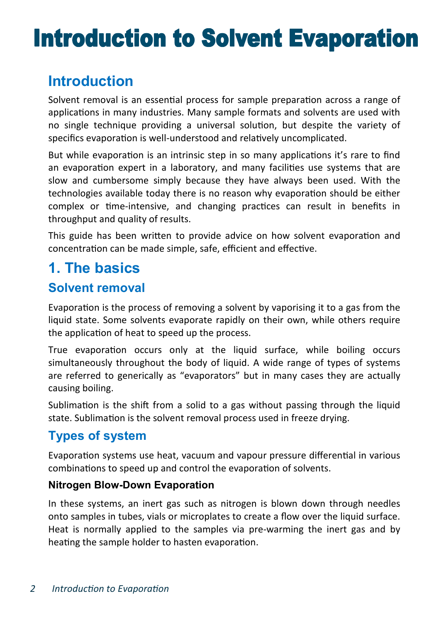## **Introduction to Solvent Evaporation**

## **Introduction**

Solvent removal is an essential process for sample preparation across a range of applications in many industries. Many sample formats and solvents are used with no single technique providing a universal solution, but despite the variety of specifics evaporation is well-understood and relatively uncomplicated.

But while evaporation is an intrinsic step in so many applications it's rare to find an evaporation expert in a laboratory, and many facilities use systems that are slow and cumbersome simply because they have always been used. With the technologies available today there is no reason why evaporation should be either complex or time-intensive, and changing practices can result in benefits in throughput and quality of results.

This guide has been written to provide advice on how solvent evaporation and concentration can be made simple, safe, efficient and effective.

## **1. The basics**

### **Solvent removal**

Evaporation is the process of removing a solvent by vaporising it to a gas from the liquid state. Some solvents evaporate rapidly on their own, while others require the application of heat to speed up the process.

True evaporation occurs only at the liquid surface, while boiling occurs simultaneously throughout the body of liquid. A wide range of types of systems are referred to generically as "evaporators" but in many cases they are actually causing boiling.

Sublimation is the shift from a solid to a gas without passing through the liquid state. Sublimation is the solvent removal process used in freeze drying.

## **Types of system**

Evaporation systems use heat, vacuum and vapour pressure differential in various combinations to speed up and control the evaporation of solvents.

#### **Nitrogen Blow-Down Evaporation**

In these systems, an inert gas such as nitrogen is blown down through needles onto samples in tubes, vials or microplates to create a flow over the liquid surface. Heat is normally applied to the samples via pre-warming the inert gas and by heating the sample holder to hasten evaporation.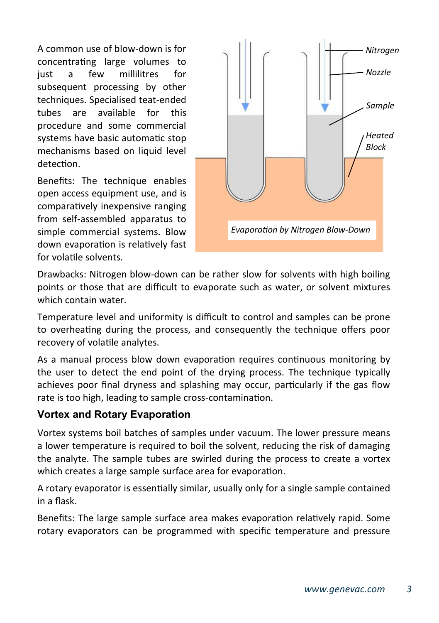A common use of blow-down is for concentrating large volumes to just a few millilitres for subsequent processing by other techniques. Specialised teat-ended tubes are available for this procedure and some commercial systems have basic automatic stop mechanisms based on liquid level detection

Benefits: The technique enables open access equipment use, and is comparatively inexpensive ranging from self-assembled apparatus to simple commercial systems. Blow down evaporation is relatively fast for volatile solvents.



Drawbacks: Nitrogen blow-down can be rather slow for solvents with high boiling points or those that are difficult to evaporate such as water, or solvent mixtures which contain water.

Temperature level and uniformity is difficult to control and samples can be prone to overheating during the process, and consequently the technique offers poor recovery of volatile analytes.

As a manual process blow down evaporation requires continuous monitoring by the user to detect the end point of the drying process. The technique typically achieves poor final dryness and splashing may occur, particularly if the gas flow rate is too high, leading to sample cross-contamination.

#### **Vortex and Rotary Evaporation**

Vortex systems boil batches of samples under vacuum. The lower pressure means a lower temperature is required to boil the solvent, reducing the risk of damaging the analyte. The sample tubes are swirled during the process to create a vortex which creates a large sample surface area for evaporation.

A rotary evaporator is essentially similar, usually only for a single sample contained in a flask.

Benefits: The large sample surface area makes evaporation relatively rapid. Some rotary evaporators can be programmed with specific temperature and pressure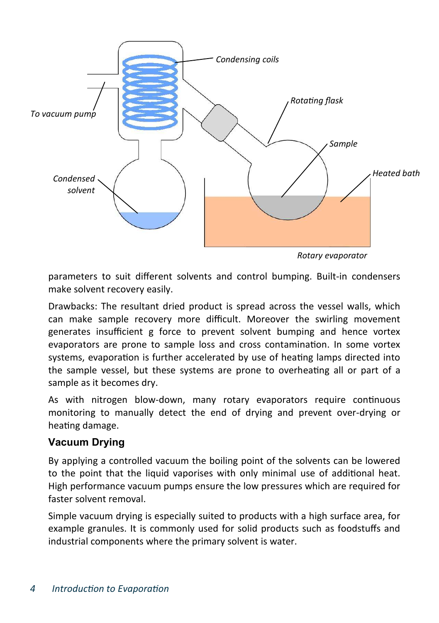

*Rotary evaporator* 

parameters to suit different solvents and control bumping. Built-in condensers make solvent recovery easily.

Drawbacks: The resultant dried product is spread across the vessel walls, which can make sample recovery more difficult. Moreover the swirling movement generates insufficient g force to prevent solvent bumping and hence vortex evaporators are prone to sample loss and cross contamination. In some vortex systems, evaporation is further accelerated by use of heating lamps directed into the sample vessel, but these systems are prone to overheating all or part of a sample as it becomes dry.

As with nitrogen blow-down, many rotary evaporators require continuous monitoring to manually detect the end of drying and prevent over-drying or heating damage.

#### **Vacuum Drying**

By applying a controlled vacuum the boiling point of the solvents can be lowered to the point that the liquid vaporises with only minimal use of additional heat. High performance vacuum pumps ensure the low pressures which are required for faster solvent removal.

Simple vacuum drying is especially suited to products with a high surface area, for example granules. It is commonly used for solid products such as foodstuffs and industrial components where the primary solvent is water.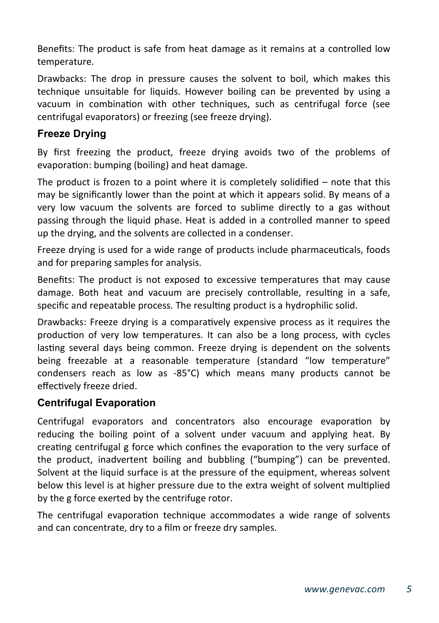Benefits: The product is safe from heat damage as it remains at a controlled low temperature.

Drawbacks: The drop in pressure causes the solvent to boil, which makes this technique unsuitable for liquids. However boiling can be prevented by using a vacuum in combination with other techniques, such as centrifugal force (see centrifugal evaporators) or freezing (see freeze drying).

#### **Freeze Drying**

By first freezing the product, freeze drying avoids two of the problems of evaporation: bumping (boiling) and heat damage.

The product is frozen to a point where it is completely solidified  $-$  note that this may be significantly lower than the point at which it appears solid. By means of a very low vacuum the solvents are forced to sublime directly to a gas without passing through the liquid phase. Heat is added in a controlled manner to speed up the drying, and the solvents are collected in a condenser.

Freeze drying is used for a wide range of products include pharmaceuticals, foods and for preparing samples for analysis.

Benefits: The product is not exposed to excessive temperatures that may cause damage. Both heat and vacuum are precisely controllable, resulting in a safe, specific and repeatable process. The resulting product is a hydrophilic solid.

Drawbacks: Freeze drying is a comparatively expensive process as it requires the production of very low temperatures. It can also be a long process, with cycles lasting several days being common. Freeze drying is dependent on the solvents being freezable at a reasonable temperature (standard "low temperature" condensers reach as low as -85°C) which means many products cannot be effectively freeze dried.

#### **Centrifugal Evaporation**

Centrifugal evaporators and concentrators also encourage evaporation by reducing the boiling point of a solvent under vacuum and applying heat. By creating centrifugal g force which confines the evaporation to the very surface of the product, inadvertent boiling and bubbling ("bumping") can be prevented. Solvent at the liquid surface is at the pressure of the equipment, whereas solvent below this level is at higher pressure due to the extra weight of solvent multiplied by the g force exerted by the centrifuge rotor.

The centrifugal evaporation technique accommodates a wide range of solvents and can concentrate, dry to a film or freeze dry samples.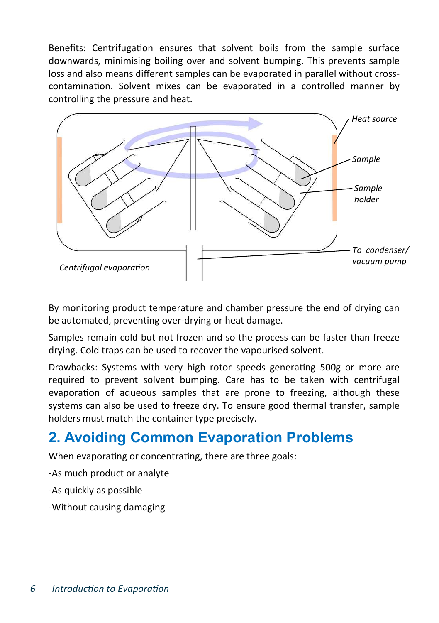Benefits: Centrifugation ensures that solvent boils from the sample surface downwards, minimising boiling over and solvent bumping. This prevents sample loss and also means different samples can be evaporated in parallel without crosscontamination. Solvent mixes can be evaporated in a controlled manner by controlling the pressure and heat.



By monitoring product temperature and chamber pressure the end of drying can be automated, preventing over-drying or heat damage.

Samples remain cold but not frozen and so the process can be faster than freeze drying. Cold traps can be used to recover the vapourised solvent.

Drawbacks: Systems with very high rotor speeds generating 500g or more are required to prevent solvent bumping. Care has to be taken with centrifugal evaporation of aqueous samples that are prone to freezing, although these systems can also be used to freeze dry. To ensure good thermal transfer, sample holders must match the container type precisely.

## **2. Avoiding Common Evaporation Problems**

When evaporating or concentrating, there are three goals:

-As much product or analyte

-As quickly as possible

-Without causing damaging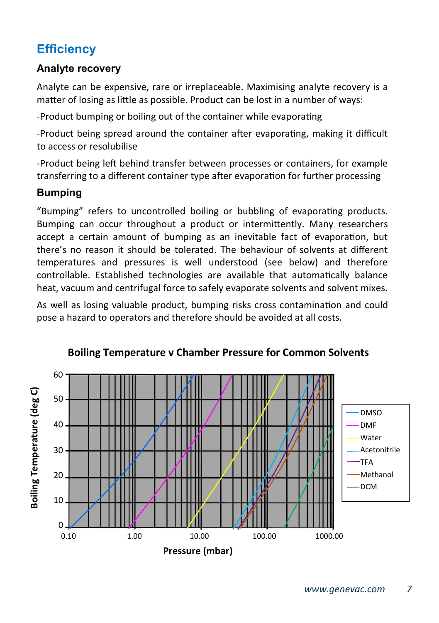## **Efficiency**

#### **Analyte recovery**

Analyte can be expensive, rare or irreplaceable. Maximising analyte recovery is a matter of losing as little as possible. Product can be lost in a number of ways:

-Product bumping or boiling out of the container while evaporating

-Product being spread around the container after evaporating, making it difficult to access or resolubilise

-Product being left behind transfer between processes or containers, for example transferring to a different container type after evaporation for further processing

#### **Bumping**

"Bumping" refers to uncontrolled boiling or bubbling of evaporating products. Bumping can occur throughout a product or intermittently. Many researchers accept a certain amount of bumping as an inevitable fact of evaporation, but there's no reason it should be tolerated. The behaviour of solvents at different temperatures and pressures is well understood (see below) and therefore controllable. Established technologies are available that automatically balance heat, vacuum and centrifugal force to safely evaporate solvents and solvent mixes.

As well as losing valuable product, bumping risks cross contamination and could pose a hazard to operators and therefore should be avoided at all costs.



#### **Boiling Temperature v Chamber Pressure for Common Solvents**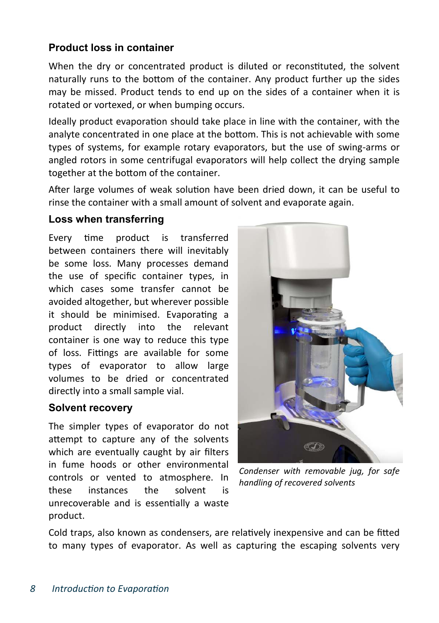#### **Product loss in container**

When the dry or concentrated product is diluted or reconstituted, the solvent naturally runs to the bottom of the container. Any product further up the sides may be missed. Product tends to end up on the sides of a container when it is rotated or vortexed, or when bumping occurs.

Ideally product evaporation should take place in line with the container, with the analyte concentrated in one place at the bottom. This is not achievable with some types of systems, for example rotary evaporators, but the use of swing-arms or angled rotors in some centrifugal evaporators will help collect the drying sample together at the bottom of the container.

After large volumes of weak solution have been dried down, it can be useful to rinse the container with a small amount of solvent and evaporate again.

#### **Loss when transferring**

Every time product is transferred between containers there will inevitably be some loss. Many processes demand the use of specific container types, in which cases some transfer cannot be avoided altogether, but wherever possible it should be minimised. Evaporating a product directly into the relevant container is one way to reduce this type of loss. Fittings are available for some types of evaporator to allow large volumes to be dried or concentrated directly into a small sample vial.

#### **Solvent recovery**

The simpler types of evaporator do not attempt to capture any of the solvents which are eventually caught by air filters in fume hoods or other environmental controls or vented to atmosphere. In these instances the solvent is unrecoverable and is essentially a waste product.



*Condenser with removable jug, for safe handling of recovered solvents* 

Cold traps, also known as condensers, are relatively inexpensive and can be fitted to many types of evaporator. As well as capturing the escaping solvents very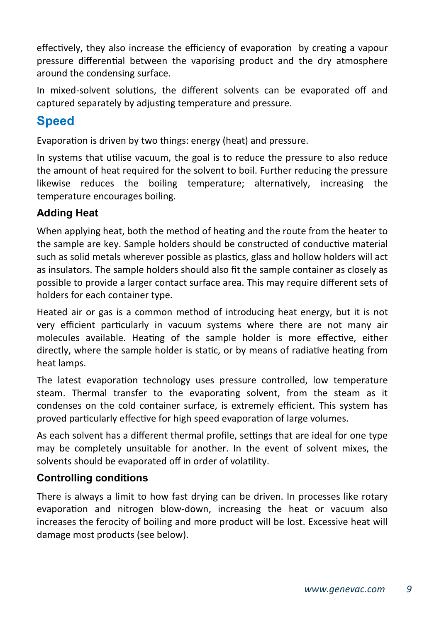effectively, they also increase the efficiency of evaporation by creating a vapour pressure differential between the vaporising product and the dry atmosphere around the condensing surface.

In mixed-solvent solutions, the different solvents can be evaporated off and captured separately by adjusting temperature and pressure.

## **Speed**

Evaporation is driven by two things: energy (heat) and pressure.

In systems that utilise vacuum, the goal is to reduce the pressure to also reduce the amount of heat required for the solvent to boil. Further reducing the pressure likewise reduces the boiling temperature; alternatively, increasing the temperature encourages boiling.

#### **Adding Heat**

When applying heat, both the method of heating and the route from the heater to the sample are key. Sample holders should be constructed of conductive material such as solid metals wherever possible as plastics, glass and hollow holders will act as insulators. The sample holders should also fit the sample container as closely as possible to provide a larger contact surface area. This may require different sets of holders for each container type.

Heated air or gas is a common method of introducing heat energy, but it is not very efficient particularly in vacuum systems where there are not many air molecules available. Heating of the sample holder is more effective, either directly, where the sample holder is static, or by means of radiative heating from heat lamps.

The latest evaporation technology uses pressure controlled, low temperature steam. Thermal transfer to the evaporating solvent, from the steam as it condenses on the cold container surface, is extremely efficient. This system has proved particularly effective for high speed evaporation of large volumes.

As each solvent has a different thermal profile, settings that are ideal for one type may be completely unsuitable for another. In the event of solvent mixes, the solvents should be evaporated off in order of volatility.

#### **Controlling conditions**

There is always a limit to how fast drying can be driven. In processes like rotary evaporation and nitrogen blow-down, increasing the heat or vacuum also increases the ferocity of boiling and more product will be lost. Excessive heat will damage most products (see below).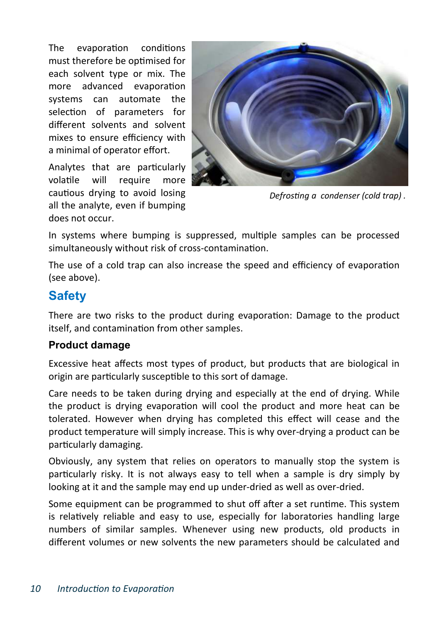The evaporation conditions must therefore be optimised for each solvent type or mix. The more advanced evaporation systems can automate the selection of parameters for different solvents and solvent mixes to ensure efficiency with a minimal of operator effort.

Analytes that are particularly volatile will require more cautious drying to avoid losing all the analyte, even if bumping does not occur.



*Defrosting a condenser (cold trap).* 

In systems where bumping is suppressed, multiple samples can be processed simultaneously without risk of cross-contamination.

The use of a cold trap can also increase the speed and efficiency of evaporation (see above).

#### **Safety**

There are two risks to the product during evaporation: Damage to the product itself, and contamination from other samples.

#### **Product damage**

Excessive heat affects most types of product, but products that are biological in origin are particularly susceptible to this sort of damage.

Care needs to be taken during drying and especially at the end of drying. While the product is drying evaporation will cool the product and more heat can be tolerated. However when drying has completed this effect will cease and the product temperature will simply increase. This is why over-drying a product can be particularly damaging.

Obviously, any system that relies on operators to manually stop the system is particularly risky. It is not always easy to tell when a sample is dry simply by looking at it and the sample may end up under-dried as well as over-dried.

Some equipment can be programmed to shut off after a set runtime. This system is relatively reliable and easy to use, especially for laboratories handling large numbers of similar samples. Whenever using new products, old products in different volumes or new solvents the new parameters should be calculated and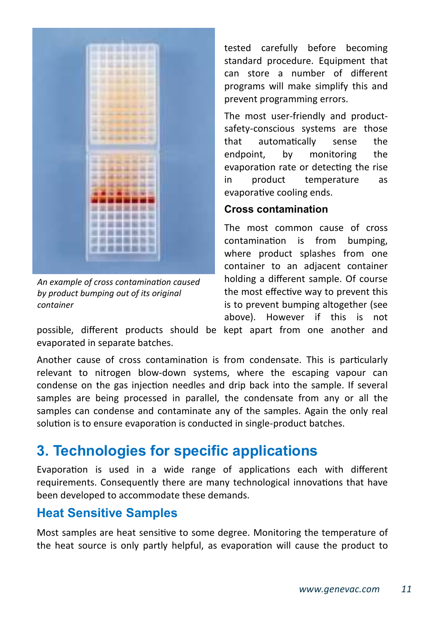

An example of cross contamination caused *by product bumping out of its original container* 

tested carefully before becoming standard procedure. Equipment that can store a number of different programs will make simplify this and prevent programming errors.

The most user-friendly and productsafety-conscious systems are those that automatically sense the endpoint, by monitoring the evaporation rate or detecting the rise in product temperature as evaporative cooling ends.

#### **Cross contamination**

The most common cause of cross contamination is from bumping. where product splashes from one container to an adjacent container holding a different sample. Of course the most effective way to prevent this is to prevent bumping altogether (see above). However if this is not

possible, different products should be kept apart from one another and evaporated in separate batches.

Another cause of cross contamination is from condensate. This is particularly relevant to nitrogen blow-down systems, where the escaping vapour can condense on the gas injection needles and drip back into the sample. If several samples are being processed in parallel, the condensate from any or all the samples can condense and contaminate any of the samples. Again the only real solution is to ensure evaporation is conducted in single-product batches.

## **3. Technologies for specific applications**

Evaporation is used in a wide range of applications each with different requirements. Consequently there are many technological innovations that have been developed to accommodate these demands.

#### **Heat Sensitive Samples**

Most samples are heat sensitive to some degree. Monitoring the temperature of the heat source is only partly helpful, as evaporation will cause the product to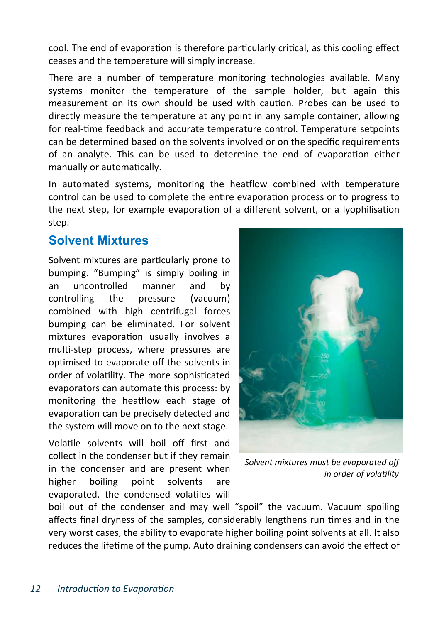cool. The end of evaporation is therefore particularly critical, as this cooling effect ceases and the temperature will simply increase.

There are a number of temperature monitoring technologies available. Many systems monitor the temperature of the sample holder, but again this measurement on its own should be used with caution. Probes can be used to directly measure the temperature at any point in any sample container, allowing for real-time feedback and accurate temperature control. Temperature setpoints can be determined based on the solvents involved or on the specific requirements of an analyte. This can be used to determine the end of evaporation either manually or automatically.

In automated systems, monitoring the heatflow combined with temperature control can be used to complete the entire evaporation process or to progress to the next step, for example evaporation of a different solvent, or a lyophilisation step.

#### **Solvent Mixtures**

Solvent mixtures are particularly prone to bumping. "Bumping" is simply boiling in an uncontrolled manner and by controlling the pressure (vacuum) combined with high centrifugal forces bumping can be eliminated. For solvent mixtures evaporation usually involves a multi-step process, where pressures are optimised to evaporate off the solvents in order of volatility. The more sophisticated evaporators can automate this process: by monitoring the heatflow each stage of evaporation can be precisely detected and the system will move on to the next stage.

Volatile solvents will boil off first and collect in the condenser but if they remain in the condenser and are present when higher boiling point solvents are evaporated, the condensed volatiles will



*Solvent mixtures must be evaporated off in order of volatility* 

boil out of the condenser and may well "spoil" the vacuum. Vacuum spoiling affects final dryness of the samples, considerably lengthens run times and in the very worst cases, the ability to evaporate higher boiling point solvents at all. It also reduces the lifetime of the pump. Auto draining condensers can avoid the effect of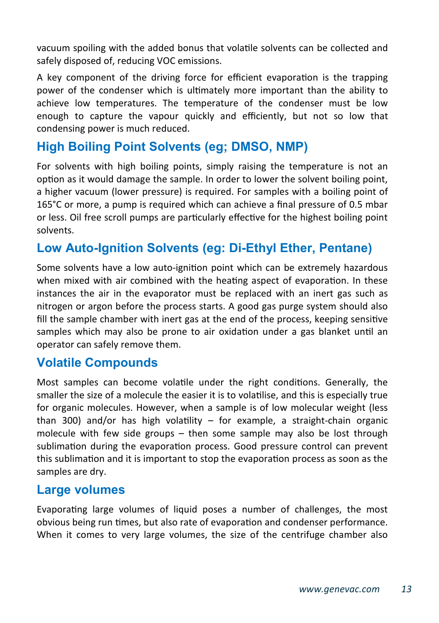vacuum spoiling with the added bonus that volatile solvents can be collected and safely disposed of, reducing VOC emissions.

A key component of the driving force for efficient evaporation is the trapping power of the condenser which is ultimately more important than the ability to achieve low temperatures. The temperature of the condenser must be low enough to capture the vapour quickly and efficiently, but not so low that condensing power is much reduced.

## **High Boiling Point Solvents (eg; DMSO, NMP)**

For solvents with high boiling points, simply raising the temperature is not an option as it would damage the sample. In order to lower the solvent boiling point, a higher vacuum (lower pressure) is required. For samples with a boiling point of 165°C or more, a pump is required which can achieve a final pressure of 0.5 mbar or less. Oil free scroll pumps are particularly effective for the highest boiling point solvents.

### **Low Auto-Ignition Solvents (eg: Di-Ethyl Ether, Pentane)**

Some solvents have a low auto-ignition point which can be extremely hazardous when mixed with air combined with the heating aspect of evaporation. In these instances the air in the evaporator must be replaced with an inert gas such as nitrogen or argon before the process starts. A good gas purge system should also fill the sample chamber with inert gas at the end of the process, keeping sensitive samples which may also be prone to air oxidation under a gas blanket until an operator can safely remove them.

#### **Volatile Compounds**

Most samples can become volatile under the right conditions. Generally, the smaller the size of a molecule the easier it is to volatilise, and this is especially true for organic molecules. However, when a sample is of low molecular weight (less than 300) and/or has high volatility  $-$  for example, a straight-chain organic molecule with few side groups – then some sample may also be lost through sublimation during the evaporation process. Good pressure control can prevent this sublimation and it is important to stop the evaporation process as soon as the samples are dry.

#### **Large volumes**

Evaporating large volumes of liquid poses a number of challenges, the most obvious being run times, but also rate of evaporation and condenser performance. When it comes to very large volumes, the size of the centrifuge chamber also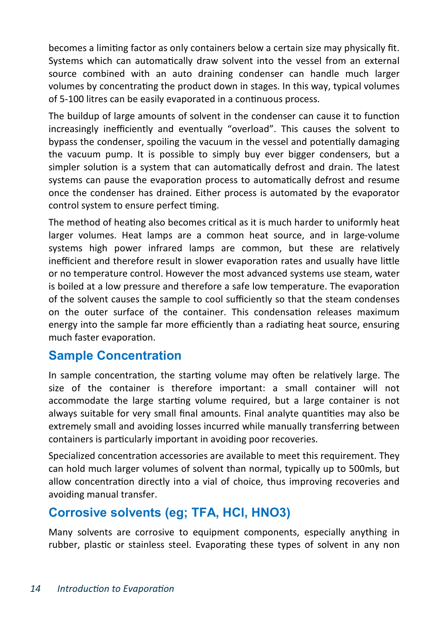becomes a limiting factor as only containers below a certain size may physically fit. Systems which can automatically draw solvent into the vessel from an external source combined with an auto draining condenser can handle much larger volumes by concentrating the product down in stages. In this way, typical volumes of 5-100 litres can be easily evaporated in a continuous process.

The buildup of large amounts of solvent in the condenser can cause it to function increasingly inefficiently and eventually "overload". This causes the solvent to bypass the condenser, spoiling the vacuum in the vessel and potentially damaging the vacuum pump. It is possible to simply buy ever bigger condensers, but a simpler solution is a system that can automatically defrost and drain. The latest systems can pause the evaporation process to automatically defrost and resume once the condenser has drained. Either process is automated by the evaporator control system to ensure perfect timing.

The method of heating also becomes critical as it is much harder to uniformly heat larger volumes. Heat lamps are a common heat source, and in large-volume systems high power infrared lamps are common, but these are relatively inefficient and therefore result in slower evaporation rates and usually have little or no temperature control. However the most advanced systems use steam, water is boiled at a low pressure and therefore a safe low temperature. The evaporation of the solvent causes the sample to cool sufficiently so that the steam condenses on the outer surface of the container. This condensation releases maximum energy into the sample far more efficiently than a radiating heat source, ensuring much faster evaporation.

#### **Sample Concentration**

In sample concentration, the starting volume may often be relatively large. The size of the container is therefore important: a small container will not accommodate the large starting volume required, but a large container is not always suitable for very small final amounts. Final analyte quantities may also be extremely small and avoiding losses incurred while manually transferring between containers is particularly important in avoiding poor recoveries.

Specialized concentration accessories are available to meet this requirement. They can hold much larger volumes of solvent than normal, typically up to 500mls, but allow concentration directly into a vial of choice, thus improving recoveries and avoiding manual transfer.

## **Corrosive solvents (eg; TFA, HCl, HNO3)**

Many solvents are corrosive to equipment components, especially anything in rubber, plastic or stainless steel. Evaporating these types of solvent in any non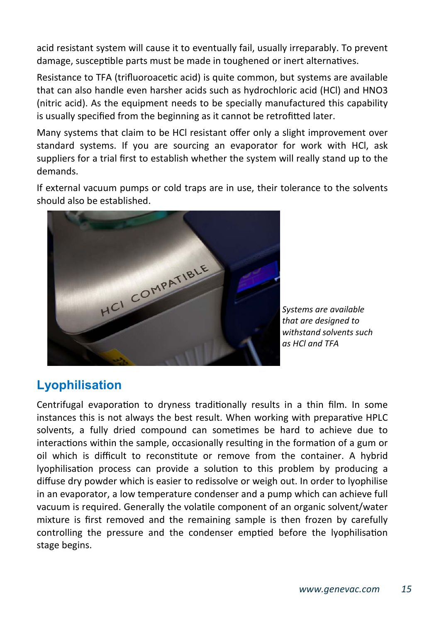acid resistant system will cause it to eventually fail, usually irreparably. To prevent damage, susceptible parts must be made in toughened or inert alternatives.

Resistance to TFA (trifluoroacetic acid) is quite common, but systems are available that can also handle even harsher acids such as hydrochloric acid (HCl) and HNO3 (nitric acid). As the equipment needs to be specially manufactured this capability is usually specified from the beginning as it cannot be retrofitted later.

Many systems that claim to be HCl resistant offer only a slight improvement over standard systems. If you are sourcing an evaporator for work with HCl, ask suppliers for a trial first to establish whether the system will really stand up to the demands.

If external vacuum pumps or cold traps are in use, their tolerance to the solvents should also be established.



*Systems are available that are designed to withstand solvents such as HCl and TFA* 

## **Lyophilisation**

Centrifugal evaporation to dryness traditionally results in a thin film. In some instances this is not always the best result. When working with preparative HPLC solvents, a fully dried compound can sometimes be hard to achieve due to interactions within the sample, occasionally resulting in the formation of a gum or oil which is difficult to reconstitute or remove from the container. A hybrid lyophilisation process can provide a solution to this problem by producing a diffuse dry powder which is easier to redissolve or weigh out. In order to lyophilise in an evaporator, a low temperature condenser and a pump which can achieve full vacuum is required. Generally the volatile component of an organic solvent/water mixture is first removed and the remaining sample is then frozen by carefully controlling the pressure and the condenser emptied before the lyophilisation stage begins.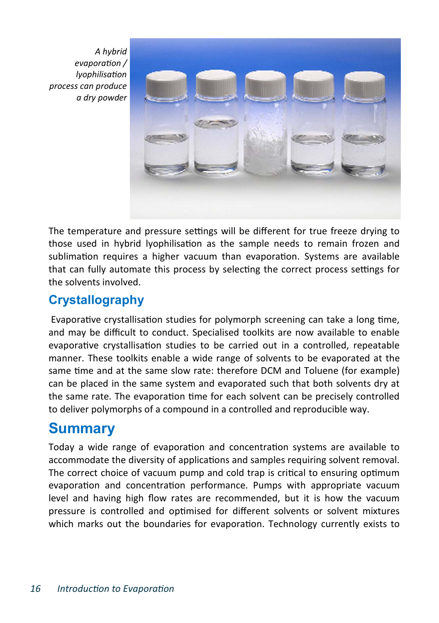*A hybrid evaporation* / *lvophilisation process can produce a dry powder* 



The temperature and pressure settings will be different for true freeze drying to those used in hybrid lyophilisation as the sample needs to remain frozen and sublimation requires a higher vacuum than evaporation. Systems are available that can fully automate this process by selecting the correct process settings for the solvents involved.

## **Crystallography**

Evaporative crystallisation studies for polymorph screening can take a long time, and may be difficult to conduct. Specialised toolkits are now available to enable evaporative crystallisation studies to be carried out in a controlled, repeatable manner. These toolkits enable a wide range of solvents to be evaporated at the same time and at the same slow rate: therefore DCM and Toluene (for example) can be placed in the same system and evaporated such that both solvents dry at the same rate. The evaporation time for each solvent can be precisely controlled to deliver polymorphs of a compound in a controlled and reproducible way.

## **Summary**

Today a wide range of evaporation and concentration systems are available to accommodate the diversity of applications and samples requiring solvent removal. The correct choice of vacuum pump and cold trap is critical to ensuring optimum evaporation and concentration performance. Pumps with appropriate vacuum level and having high flow rates are recommended, but it is how the vacuum pressure is controlled and optimised for different solvents or solvent mixtures which marks out the boundaries for evaporation. Technology currently exists to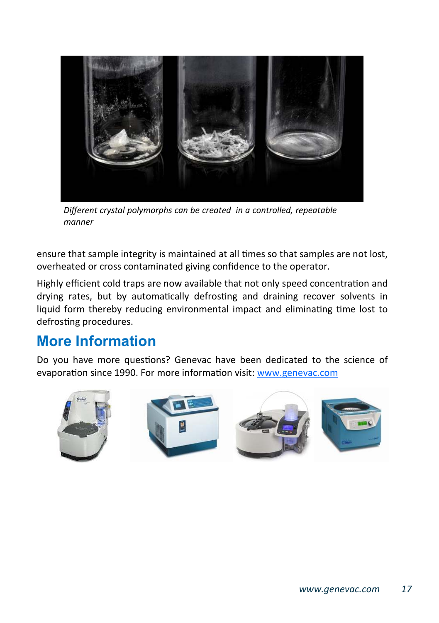

*Different crystal polymorphs can be created in a controlled, repeatable manner* 

ensure that sample integrity is maintained at all times so that samples are not lost, overheated or cross contaminated giving confidence to the operator.

Highly efficient cold traps are now available that not only speed concentration and drying rates, but by automatically defrosting and draining recover solvents in liquid form thereby reducing environmental impact and eliminating time lost to defrosting procedures.

## **More Information**

Do you have more questions? Genevac have been dedicated to the science of evaporation since 1990. For more information visit: www.genevac.com

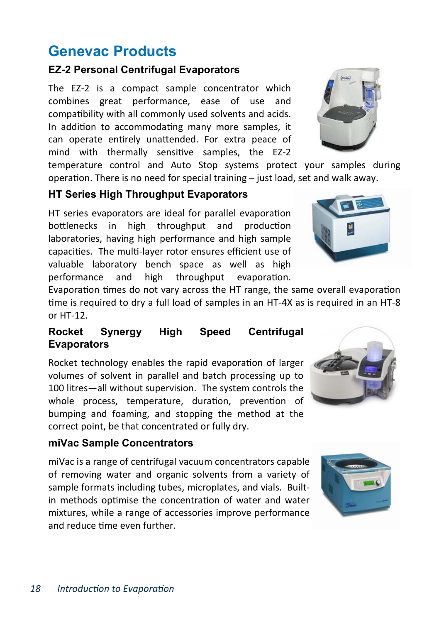## **Genevac Products**

#### **EZ-2 Personal Centrifugal Evaporators**

The EZ-2 is a compact sample concentrator which combines great performance, ease of use and compatibility with all commonly used solvents and acids. In addition to accommodating many more samples, it can operate entirely unattended. For extra peace of mind with thermally sensitive samples, the EZ-2

temperature control and Auto Stop systems protect your samples during operation. There is no need for special training  $-$  just load, set and walk away.

#### **HT Series High Throughput Evaporators**

HT series evaporators are ideal for parallel evaporation bottlenecks in high throughput and production laboratories, having high performance and high sample capacities. The multi-layer rotor ensures efficient use of valuable laboratory bench space as well as high performance and high throughput evaporation.

Evaporation times do not vary across the HT range, the same overall evaporation time is required to dry a full load of samples in an HT-4X as is required in an HT-8 or HT-12.

#### **Rocket Synergy High Speed Centrifugal Evaporators**

Rocket technology enables the rapid evaporation of larger volumes of solvent in parallel and batch processing up to 100 litres—all without supervision. The system controls the whole process, temperature, duration, prevention of bumping and foaming, and stopping the method at the correct point, be that concentrated or fully dry.

#### **miVac Sample Concentrators**

miVac is a range of centrifugal vacuum concentrators capable of removing water and organic solvents from a variety of sample formats including tubes, microplates, and vials. Builtin methods optimise the concentration of water and water mixtures, while a range of accessories improve performance and reduce time even further







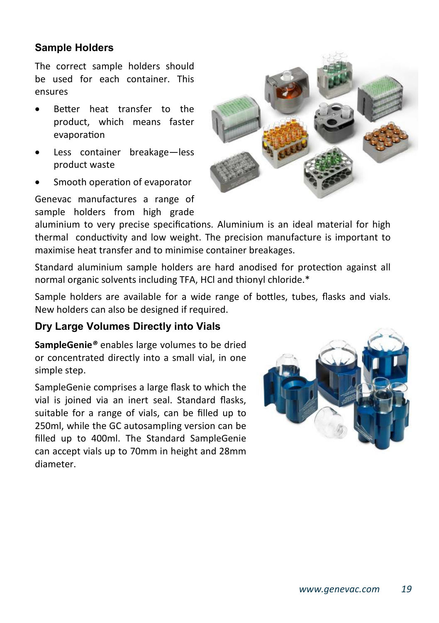#### **Sample Holders**

The correct sample holders should be used for each container. This ensures

- Better heat transfer to the product, which means faster evaporation
- Less container breakage-less product waste
- Smooth operation of evaporator

Genevac manufactures a range of sample holders from high grade



aluminium to very precise specifications. Aluminium is an ideal material for high thermal conductivity and low weight. The precision manufacture is important to maximise heat transfer and to minimise container breakages.

Standard aluminium sample holders are hard anodised for protection against all normal organic solvents including TFA, HCl and thionyl chloride.\*

Sample holders are available for a wide range of bottles, tubes, flasks and vials. New holders can also be designed if required.

#### **Dry Large Volumes Directly into Vials**

**SampleGenie***®* enables large volumes to be dried or concentrated directly into a small vial, in one simple step.

SampleGenie comprises a large flask to which the vial is joined via an inert seal. Standard flasks, suitable for a range of vials, can be filled up to 250ml, while the GC autosampling version can be filled up to 400ml. The Standard SampleGenie can accept vials up to 70mm in height and 28mm diameter.

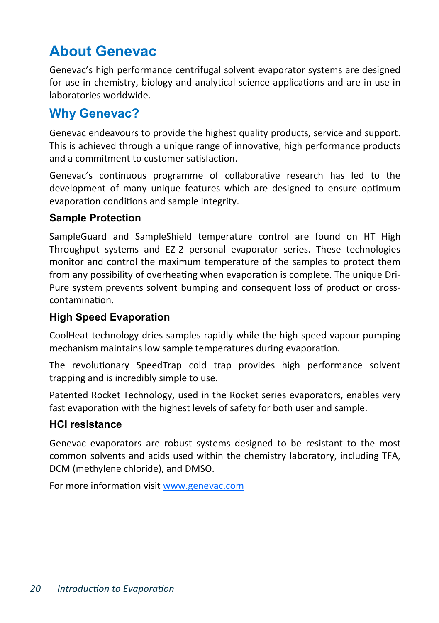## **About Genevac**

Genevac's high performance centrifugal solvent evaporator systems are designed for use in chemistry, biology and analytical science applications and are in use in laboratories worldwide.

#### **Why Genevac?**

Genevac endeavours to provide the highest quality products, service and support. This is achieved through a unique range of innovative, high performance products and a commitment to customer satisfaction.

Genevac's continuous programme of collaborative research has led to the development of many unique features which are designed to ensure optimum evaporation conditions and sample integrity.

#### **Sample Protection**

SampleGuard and SampleShield temperature control are found on HT High Throughput systems and EZ-2 personal evaporator series. These technologies monitor and control the maximum temperature of the samples to protect them from any possibility of overheating when evaporation is complete. The unique Dri-Pure system prevents solvent bumping and consequent loss of product or crosscontamination.

#### **High Speed Evaporation**

CoolHeat technology dries samples rapidly while the high speed vapour pumping mechanism maintains low sample temperatures during evaporation.

The revolutionary SpeedTrap cold trap provides high performance solvent trapping and is incredibly simple to use.

Patented Rocket Technology, used in the Rocket series evaporators, enables very fast evaporation with the highest levels of safety for both user and sample.

#### **HCl resistance**

Genevac evaporators are robust systems designed to be resistant to the most common solvents and acids used within the chemistry laboratory, including TFA, DCM (methylene chloride), and DMSO.

For more information visit www.genevac.com